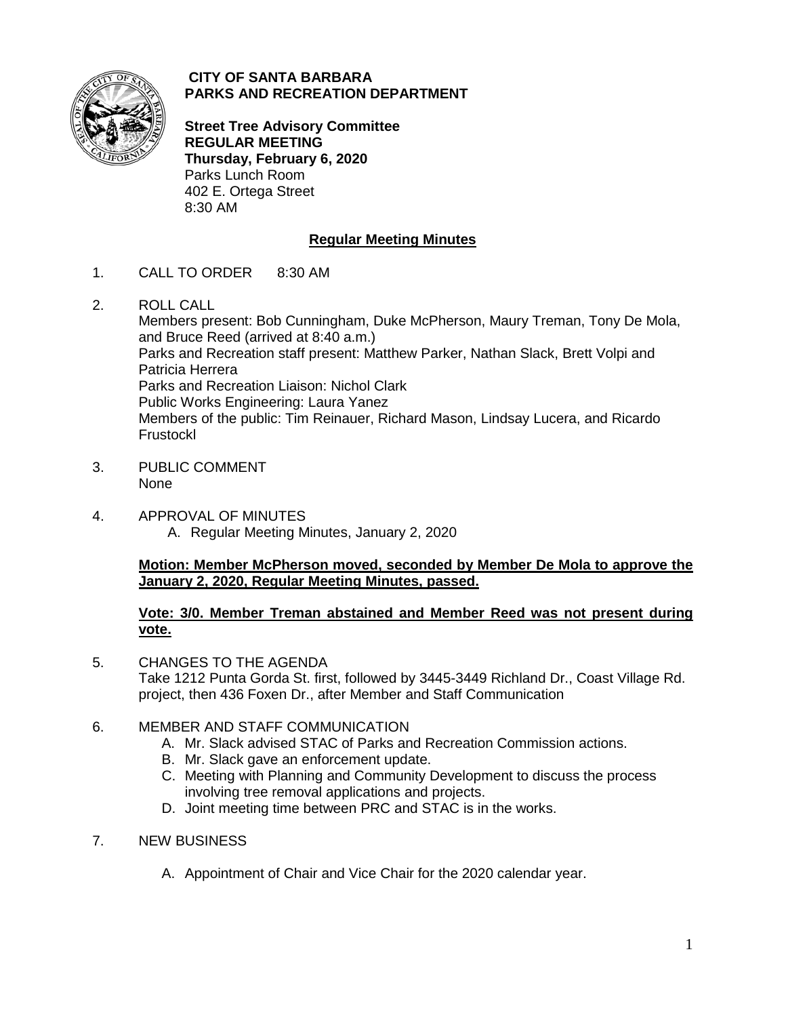

### **CITY OF SANTA BARBARA PARKS AND RECREATION DEPARTMENT**

**Street Tree Advisory Committee REGULAR MEETING Thursday, February 6, 2020** Parks Lunch Room 402 E. Ortega Street 8:30 AM

# **Regular Meeting Minutes**

- 1. CALL TO ORDER 8:30 AM
- 2. ROLL CALL

Members present: Bob Cunningham, Duke McPherson, Maury Treman, Tony De Mola, and Bruce Reed (arrived at 8:40 a.m.) Parks and Recreation staff present: Matthew Parker, Nathan Slack, Brett Volpi and Patricia Herrera Parks and Recreation Liaison: Nichol Clark Public Works Engineering: Laura Yanez Members of the public: Tim Reinauer, Richard Mason, Lindsay Lucera, and Ricardo Frustockl

- 3. PUBLIC COMMENT None
- 4. APPROVAL OF MINUTES A. Regular Meeting Minutes, January 2, 2020

# **Motion: Member McPherson moved, seconded by Member De Mola to approve the January 2, 2020, Regular Meeting Minutes, passed.**

### **Vote: 3/0. Member Treman abstained and Member Reed was not present during vote.**

- 5. CHANGES TO THE AGENDA Take 1212 Punta Gorda St. first, followed by 3445-3449 Richland Dr., Coast Village Rd. project, then 436 Foxen Dr., after Member and Staff Communication
- 6. MEMBER AND STAFF COMMUNICATION
	- A. Mr. Slack advised STAC of Parks and Recreation Commission actions.
	- B. Mr. Slack gave an enforcement update.
	- C. Meeting with Planning and Community Development to discuss the process involving tree removal applications and projects.
	- D. Joint meeting time between PRC and STAC is in the works.
- 7. NEW BUSINESS
	- A. Appointment of Chair and Vice Chair for the 2020 calendar year.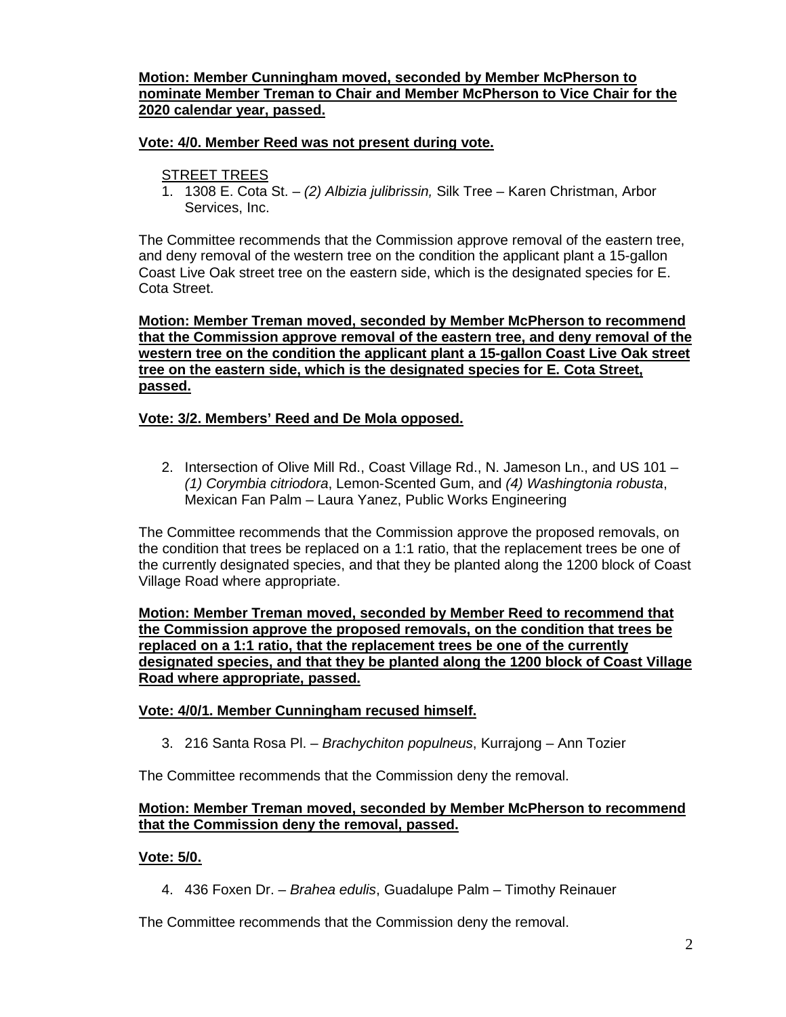### **Motion: Member Cunningham moved, seconded by Member McPherson to nominate Member Treman to Chair and Member McPherson to Vice Chair for the 2020 calendar year, passed.**

### **Vote: 4/0. Member Reed was not present during vote.**

### STREET TREES

1. 1308 E. Cota St. – *(2) Albizia julibrissin,* Silk Tree – Karen Christman, Arbor Services, Inc.

The Committee recommends that the Commission approve removal of the eastern tree, and deny removal of the western tree on the condition the applicant plant a 15-gallon Coast Live Oak street tree on the eastern side, which is the designated species for E. Cota Street.

**Motion: Member Treman moved, seconded by Member McPherson to recommend that the Commission approve removal of the eastern tree, and deny removal of the western tree on the condition the applicant plant a 15-gallon Coast Live Oak street tree on the eastern side, which is the designated species for E. Cota Street, passed.** 

### **Vote: 3/2. Members' Reed and De Mola opposed.**

2. Intersection of Olive Mill Rd., Coast Village Rd., N. Jameson Ln., and US 101 – *(1) Corymbia citriodora*, Lemon-Scented Gum, and *(4) Washingtonia robusta*, Mexican Fan Palm – Laura Yanez, Public Works Engineering

The Committee recommends that the Commission approve the proposed removals, on the condition that trees be replaced on a 1:1 ratio, that the replacement trees be one of the currently designated species, and that they be planted along the 1200 block of Coast Village Road where appropriate.

**Motion: Member Treman moved, seconded by Member Reed to recommend that the Commission approve the proposed removals, on the condition that trees be replaced on a 1:1 ratio, that the replacement trees be one of the currently designated species, and that they be planted along the 1200 block of Coast Village Road where appropriate, passed.** 

#### **Vote: 4/0/1. Member Cunningham recused himself.**

3. 216 Santa Rosa Pl. – *Brachychiton populneus*, Kurrajong – Ann Tozier

The Committee recommends that the Commission deny the removal.

#### **Motion: Member Treman moved, seconded by Member McPherson to recommend that the Commission deny the removal, passed.**

### **Vote: 5/0.**

4. 436 Foxen Dr. – *Brahea edulis*, Guadalupe Palm – Timothy Reinauer

The Committee recommends that the Commission deny the removal.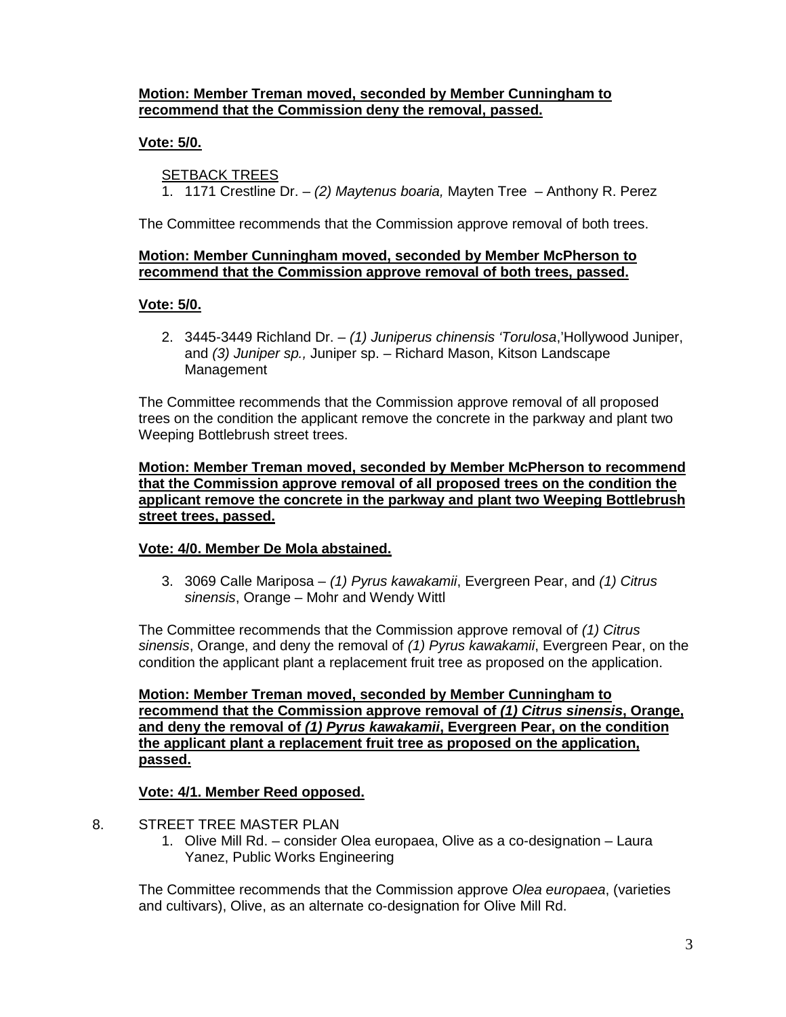### **Motion: Member Treman moved, seconded by Member Cunningham to recommend that the Commission deny the removal, passed.**

## **Vote: 5/0.**

### SETBACK TREES

1. 1171 Crestline Dr. – *(2) Maytenus boaria,* Mayten Tree – Anthony R. Perez

The Committee recommends that the Commission approve removal of both trees.

### **Motion: Member Cunningham moved, seconded by Member McPherson to recommend that the Commission approve removal of both trees, passed.**

#### **Vote: 5/0.**

2. 3445-3449 Richland Dr. – *(1) Juniperus chinensis 'Torulosa*,'Hollywood Juniper, and *(3) Juniper sp.,* Juniper sp. – Richard Mason, Kitson Landscape Management

The Committee recommends that the Commission approve removal of all proposed trees on the condition the applicant remove the concrete in the parkway and plant two Weeping Bottlebrush street trees.

**Motion: Member Treman moved, seconded by Member McPherson to recommend that the Commission approve removal of all proposed trees on the condition the applicant remove the concrete in the parkway and plant two Weeping Bottlebrush street trees, passed.**

### **Vote: 4/0. Member De Mola abstained.**

3. 3069 Calle Mariposa – *(1) Pyrus kawakamii*, Evergreen Pear, and *(1) Citrus sinensis*, Orange – Mohr and Wendy Wittl

The Committee recommends that the Commission approve removal of *(1) Citrus sinensis*, Orange, and deny the removal of *(1) Pyrus kawakamii*, Evergreen Pear, on the condition the applicant plant a replacement fruit tree as proposed on the application.

**Motion: Member Treman moved, seconded by Member Cunningham to recommend that the Commission approve removal of** *(1) Citrus sinensis***, Orange, and deny the removal of** *(1) Pyrus kawakamii***, Evergreen Pear, on the condition the applicant plant a replacement fruit tree as proposed on the application, passed.**

### **Vote: 4/1. Member Reed opposed.**

- 8. STREET TREE MASTER PLAN
	- 1. Olive Mill Rd. consider Olea europaea, Olive as a co-designation Laura Yanez, Public Works Engineering

The Committee recommends that the Commission approve *Olea europaea*, (varieties and cultivars), Olive, as an alternate co-designation for Olive Mill Rd.